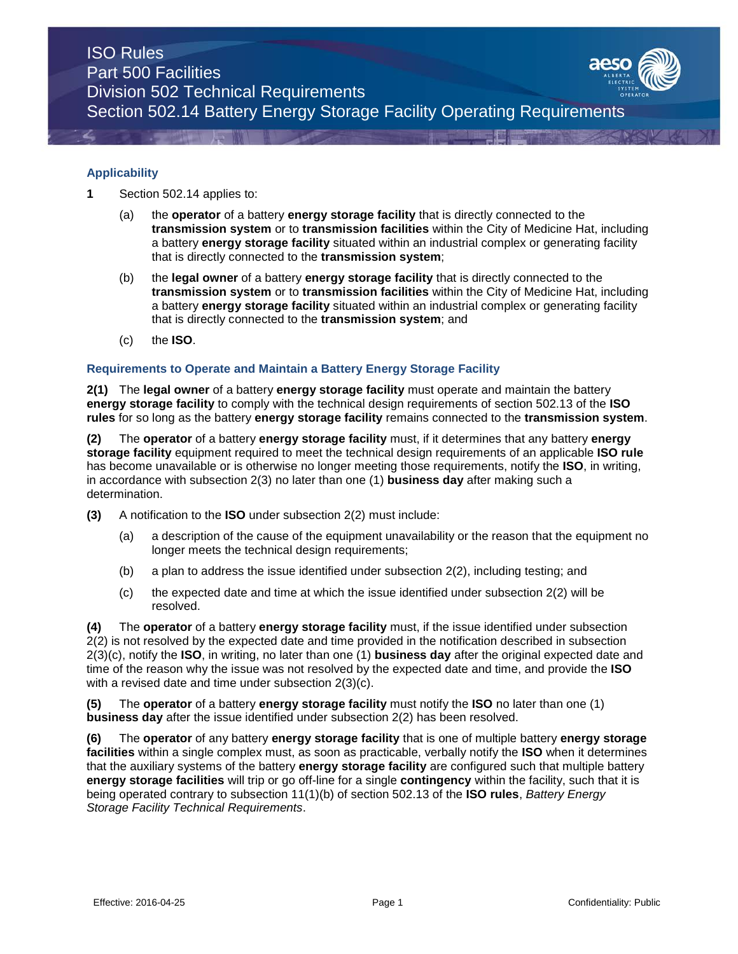

- **1** Section 502.14 applies to:
	- (a) the **operator** of a battery **energy storage facility** that is directly connected to the **transmission system** or to **transmission facilities** within the City of Medicine Hat, including a battery **energy storage facility** situated within an industrial complex or generating facility that is directly connected to the **transmission system**;
	- (b) the **legal owner** of a battery **energy storage facility** that is directly connected to the **transmission system** or to **transmission facilities** within the City of Medicine Hat, including a battery **energy storage facility** situated within an industrial complex or generating facility that is directly connected to the **transmission system**; and
	- (c) the **ISO**.

## **Requirements to Operate and Maintain a Battery Energy Storage Facility**

**2(1)** The **legal owner** of a battery **energy storage facility** must operate and maintain the battery **energy storage facility** to comply with the technical design requirements of section 502.13 of the **ISO rules** for so long as the battery **energy storage facility** remains connected to the **transmission system**.

**(2)** The **operator** of a battery **energy storage facility** must, if it determines that any battery **energy storage facility** equipment required to meet the technical design requirements of an applicable **ISO rule**  has become unavailable or is otherwise no longer meeting those requirements, notify the **ISO**, in writing, in accordance with subsection 2(3) no later than one (1) **business day** after making such a determination.

- **(3)** A notification to the **ISO** under subsection 2(2) must include:
	- (a) a description of the cause of the equipment unavailability or the reason that the equipment no longer meets the technical design requirements;
	- (b) a plan to address the issue identified under subsection 2(2), including testing; and
	- (c) the expected date and time at which the issue identified under subsection 2(2) will be resolved.

**(4)** The **operator** of a battery **energy storage facility** must, if the issue identified under subsection 2(2) is not resolved by the expected date and time provided in the notification described in subsection 2(3)(c), notify the **ISO**, in writing, no later than one (1) **business day** after the original expected date and time of the reason why the issue was not resolved by the expected date and time, and provide the **ISO** with a revised date and time under subsection 2(3)(c).

**(5)** The **operator** of a battery **energy storage facility** must notify the **ISO** no later than one (1) **business day** after the issue identified under subsection 2(2) has been resolved.

**(6)** The **operator** of any battery **energy storage facility** that is one of multiple battery **energy storage facilities** within a single complex must, as soon as practicable, verbally notify the **ISO** when it determines that the auxiliary systems of the battery **energy storage facility** are configured such that multiple battery **energy storage facilities** will trip or go off-line for a single **contingency** within the facility, such that it is being operated contrary to subsection 11(1)(b) of section 502.13 of the **ISO rules**, *Battery Energy Storage Facility Technical Requirements*.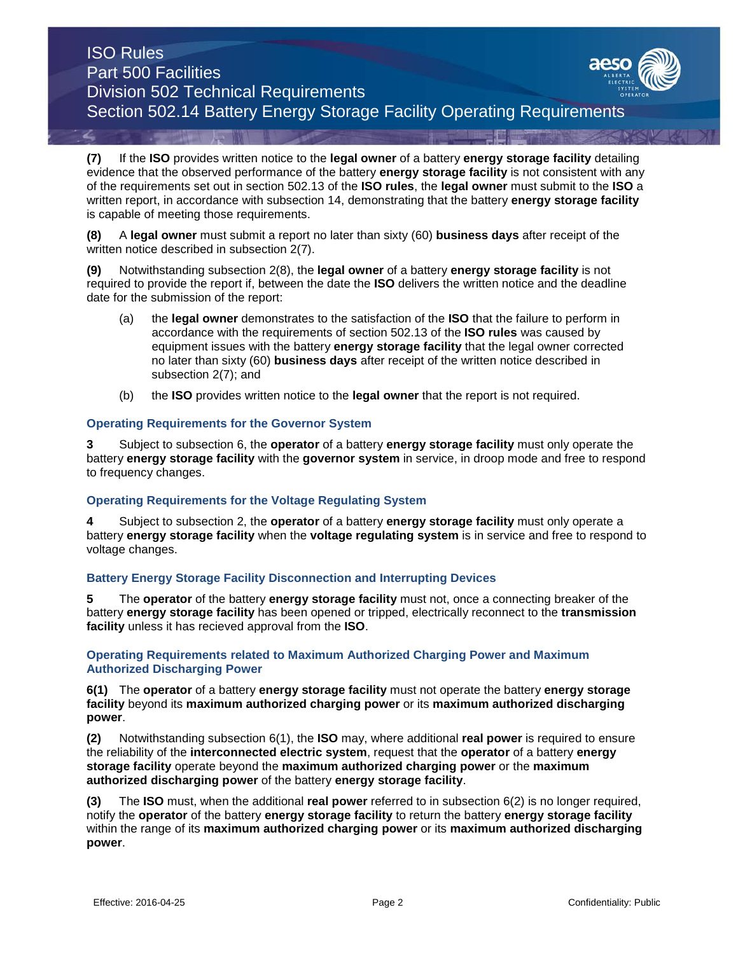**(7)** If the **ISO** provides written notice to the **legal owner** of a battery **energy storage facility** detailing evidence that the observed performance of the battery **energy storage facility** is not consistent with any of the requirements set out in section 502.13 of the **ISO rules**, the **legal owner** must submit to the **ISO** a written report, in accordance with subsection 14, demonstrating that the battery **energy storage facility**  is capable of meeting those requirements.

**(8)** A **legal owner** must submit a report no later than sixty (60) **business days** after receipt of the written notice described in subsection 2(7).

**(9)** Notwithstanding subsection 2(8), the **legal owner** of a battery **energy storage facility** is not required to provide the report if, between the date the **ISO** delivers the written notice and the deadline date for the submission of the report:

- (a) the **legal owner** demonstrates to the satisfaction of the **ISO** that the failure to perform in accordance with the requirements of section 502.13 of the **ISO rules** was caused by equipment issues with the battery **energy storage facility** that the legal owner corrected no later than sixty (60) **business days** after receipt of the written notice described in subsection 2(7); and
- (b) the **ISO** provides written notice to the **legal owner** that the report is not required.

#### **Operating Requirements for the Governor System**

**3** Subject to subsection 6, the **operator** of a battery **energy storage facility** must only operate the battery **energy storage facility** with the **governor system** in service, in droop mode and free to respond to frequency changes.

### **Operating Requirements for the Voltage Regulating System**

**4** Subject to subsection 2, the **operator** of a battery **energy storage facility** must only operate a battery **energy storage facility** when the **voltage regulating system** is in service and free to respond to voltage changes.

### **Battery Energy Storage Facility Disconnection and Interrupting Devices**

**5** The **operator** of the battery **energy storage facility** must not, once a connecting breaker of the battery **energy storage facility** has been opened or tripped, electrically reconnect to the **transmission facility** unless it has recieved approval from the **ISO**.

#### **Operating Requirements related to Maximum Authorized Charging Power and Maximum Authorized Discharging Power**

**6(1)** The **operator** of a battery **energy storage facility** must not operate the battery **energy storage facility** beyond its **maximum authorized charging power** or its **maximum authorized discharging power**.

**(2)** Notwithstanding subsection 6(1), the **ISO** may, where additional **real power** is required to ensure the reliability of the **interconnected electric system**, request that the **operator** of a battery **energy storage facility** operate beyond the **maximum authorized charging power** or the **maximum authorized discharging power** of the battery **energy storage facility**.

**(3)** The **ISO** must, when the additional **real power** referred to in subsection 6(2) is no longer required, notify the **operator** of the battery **energy storage facility** to return the battery **energy storage facility**  within the range of its **maximum authorized charging power** or its **maximum authorized discharging power**.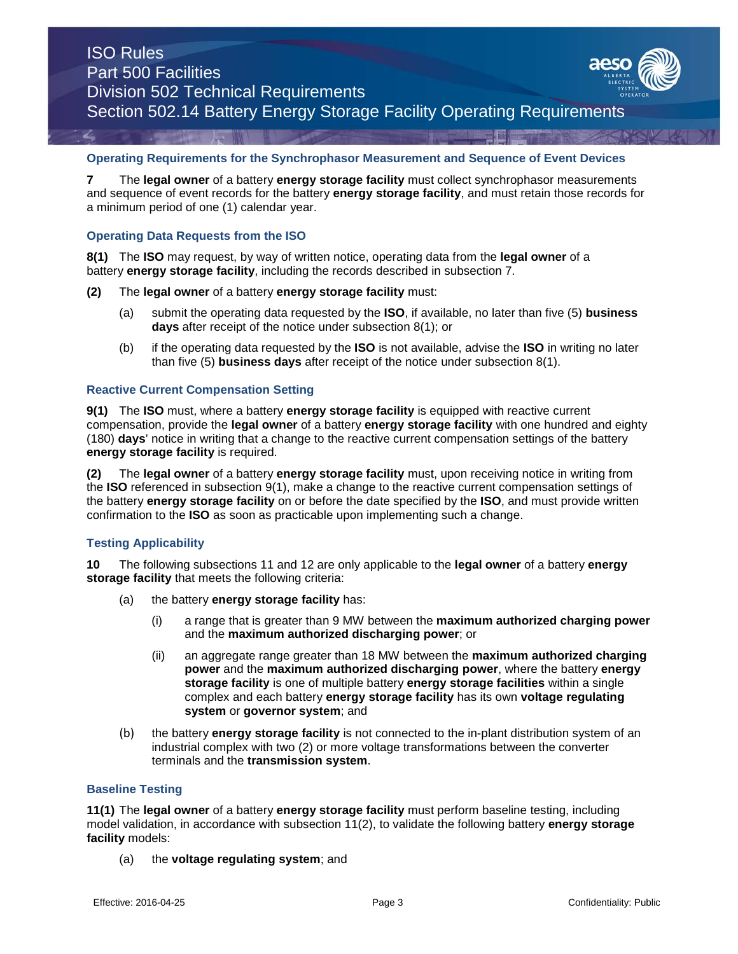## **Operating Requirements for the Synchrophasor Measurement and Sequence of Event Devices**

**7** The **legal owner** of a battery **energy storage facility** must collect synchrophasor measurements and sequence of event records for the battery **energy storage facility**, and must retain those records for a minimum period of one (1) calendar year.

## **Operating Data Requests from the ISO**

**8(1)** The **ISO** may request, by way of written notice, operating data from the **legal owner** of a battery **energy storage facility**, including the records described in subsection 7.

- **(2)** The **legal owner** of a battery **energy storage facility** must:
	- (a) submit the operating data requested by the **ISO**, if available, no later than five (5) **business days** after receipt of the notice under subsection 8(1); or
	- (b) if the operating data requested by the **ISO** is not available, advise the **ISO** in writing no later than five (5) **business days** after receipt of the notice under subsection 8(1).

### **Reactive Current Compensation Setting**

**9(1)** The **ISO** must, where a battery **energy storage facility** is equipped with reactive current compensation, provide the **legal owner** of a battery **energy storage facility** with one hundred and eighty (180) **days**' notice in writing that a change to the reactive current compensation settings of the battery **energy storage facility** is required.

**(2)** The **legal owner** of a battery **energy storage facility** must, upon receiving notice in writing from the **ISO** referenced in subsection 9(1), make a change to the reactive current compensation settings of the battery **energy storage facility** on or before the date specified by the **ISO**, and must provide written confirmation to the **ISO** as soon as practicable upon implementing such a change.

## **Testing Applicability**

**10** The following subsections 11 and 12 are only applicable to the **legal owner** of a battery **energy storage facility** that meets the following criteria:

- (a) the battery **energy storage facility** has:
	- (i) a range that is greater than 9 MW between the **maximum authorized charging power** and the **maximum authorized discharging power**; or
	- (ii) an aggregate range greater than 18 MW between the **maximum authorized charging power** and the **maximum authorized discharging power**, where the battery **energy storage facility** is one of multiple battery **energy storage facilities** within a single complex and each battery **energy storage facility** has its own **voltage regulating system** or **governor system**; and
- (b) the battery **energy storage facility** is not connected to the in-plant distribution system of an industrial complex with two (2) or more voltage transformations between the converter terminals and the **transmission system**.

### **Baseline Testing**

**11(1)** The **legal owner** of a battery **energy storage facility** must perform baseline testing, including model validation, in accordance with subsection 11(2), to validate the following battery **energy storage facility** models:

(a) the **voltage regulating system**; and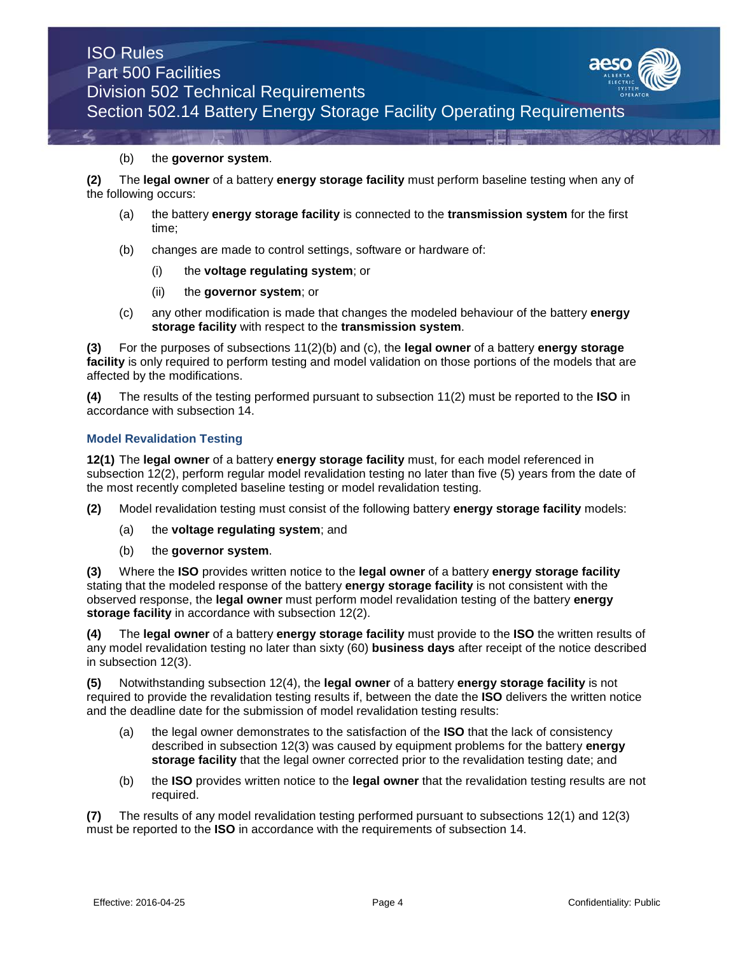## (b) the **governor system**.

**(2)** The **legal owner** of a battery **energy storage facility** must perform baseline testing when any of the following occurs:

- (a) the battery **energy storage facility** is connected to the **transmission system** for the first time;
- (b) changes are made to control settings, software or hardware of:
	- (i) the **voltage regulating system**; or
	- (ii) the **governor system**; or
- (c) any other modification is made that changes the modeled behaviour of the battery **energy storage facility** with respect to the **transmission system**.

**(3)** For the purposes of subsections 11(2)(b) and (c), the **legal owner** of a battery **energy storage facility** is only required to perform testing and model validation on those portions of the models that are affected by the modifications.

**(4)** The results of the testing performed pursuant to subsection 11(2) must be reported to the **ISO** in accordance with subsection 14.

#### **Model Revalidation Testing**

**12(1)** The **legal owner** of a battery **energy storage facility** must, for each model referenced in subsection 12(2), perform regular model revalidation testing no later than five (5) years from the date of the most recently completed baseline testing or model revalidation testing.

- **(2)** Model revalidation testing must consist of the following battery **energy storage facility** models:
	- (a) the **voltage regulating system**; and
	- (b) the **governor system**.

**(3)** Where the **ISO** provides written notice to the **legal owner** of a battery **energy storage facility**  stating that the modeled response of the battery **energy storage facility** is not consistent with the observed response, the **legal owner** must perform model revalidation testing of the battery **energy storage facility** in accordance with subsection 12(2).

**(4)** The **legal owner** of a battery **energy storage facility** must provide to the **ISO** the written results of any model revalidation testing no later than sixty (60) **business days** after receipt of the notice described in subsection 12(3).

**(5)** Notwithstanding subsection 12(4), the **legal owner** of a battery **energy storage facility** is not required to provide the revalidation testing results if, between the date the **ISO** delivers the written notice and the deadline date for the submission of model revalidation testing results:

- (a) the legal owner demonstrates to the satisfaction of the **ISO** that the lack of consistency described in subsection 12(3) was caused by equipment problems for the battery **energy storage facility** that the legal owner corrected prior to the revalidation testing date; and
- (b) the **ISO** provides written notice to the **legal owner** that the revalidation testing results are not required.

**(7)** The results of any model revalidation testing performed pursuant to subsections 12(1) and 12(3) must be reported to the **ISO** in accordance with the requirements of subsection 14.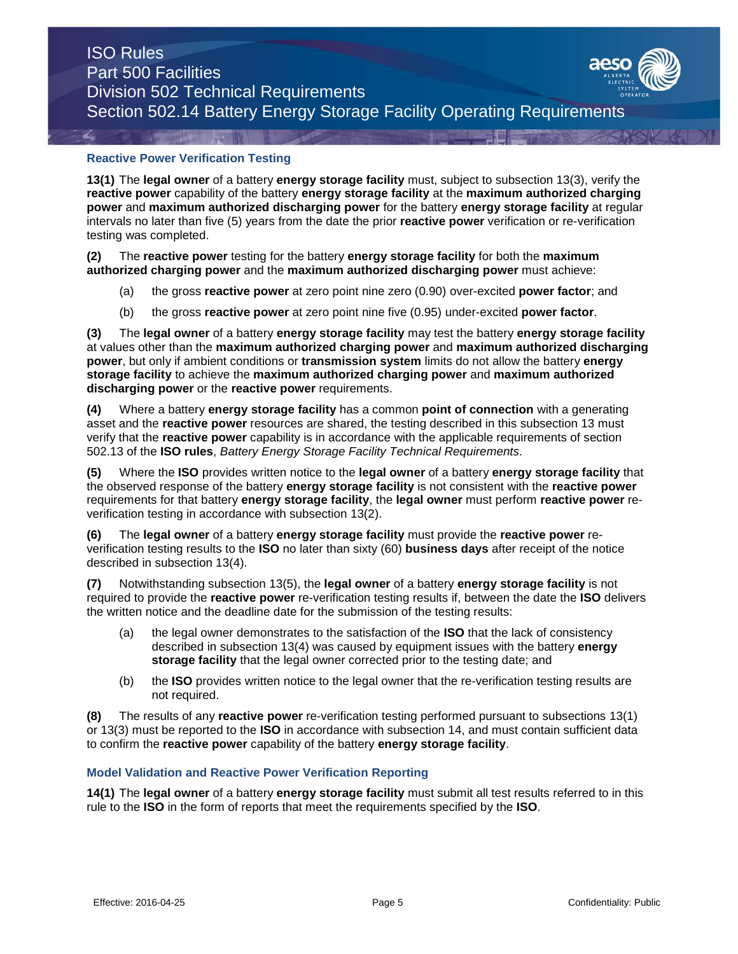## **Reactive Power Verification Testing**

**13(1)** The **legal owner** of a battery **energy storage facility** must, subject to subsection 13(3), verify the **reactive power** capability of the battery **energy storage facility** at the **maximum authorized charging power** and **maximum authorized discharging power** for the battery **energy storage facility** at regular intervals no later than five (5) years from the date the prior **reactive power** verification or re-verification testing was completed.

**(2)** The **reactive power** testing for the battery **energy storage facility** for both the **maximum authorized charging power** and the **maximum authorized discharging power** must achieve:

- (a) the gross **reactive power** at zero point nine zero (0.90) over-excited **power factor**; and
- (b) the gross **reactive power** at zero point nine five (0.95) under-excited **power factor**.

**(3)** The **legal owner** of a battery **energy storage facility** may test the battery **energy storage facility** at values other than the **maximum authorized charging power** and **maximum authorized discharging power**, but only if ambient conditions or **transmission system** limits do not allow the battery **energy storage facility** to achieve the **maximum authorized charging power** and **maximum authorized discharging power** or the **reactive power** requirements.

**(4)** Where a battery **energy storage facility** has a common **point of connection** with a generating asset and the **reactive power** resources are shared, the testing described in this subsection 13 must verify that the **reactive power** capability is in accordance with the applicable requirements of section 502.13 of the **ISO rules**, *Battery Energy Storage Facility Technical Requirements.*

**(5)** Where the **ISO** provides written notice to the **legal owner** of a battery **energy storage facility** that the observed response of the battery **energy storage facility** is not consistent with the **reactive power**  requirements for that battery **energy storage facility**, the **legal owner** must perform **reactive power** reverification testing in accordance with subsection 13(2).

**(6)** The **legal owner** of a battery **energy storage facility** must provide the **reactive power** reverification testing results to the **ISO** no later than sixty (60) **business days** after receipt of the notice described in subsection 13(4).

**(7)** Notwithstanding subsection 13(5), the **legal owner** of a battery **energy storage facility** is not required to provide the **reactive power** re-verification testing results if, between the date the **ISO** delivers the written notice and the deadline date for the submission of the testing results:

- (a) the legal owner demonstrates to the satisfaction of the **ISO** that the lack of consistency described in subsection 13(4) was caused by equipment issues with the battery **energy storage facility** that the legal owner corrected prior to the testing date; and
- (b) the **ISO** provides written notice to the legal owner that the re-verification testing results are not required.

**(8)** The results of any **reactive power** re-verification testing performed pursuant to subsections 13(1) or 13(3) must be reported to the **ISO** in accordance with subsection 14, and must contain sufficient data to confirm the **reactive power** capability of the battery **energy storage facility**.

### **Model Validation and Reactive Power Verification Reporting**

**14(1)** The **legal owner** of a battery **energy storage facility** must submit all test results referred to in this rule to the **ISO** in the form of reports that meet the requirements specified by the **ISO**.